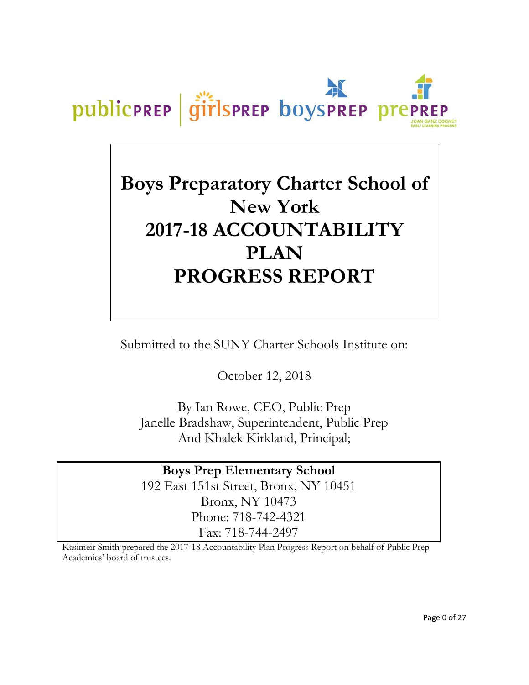

# **Boys Preparatory Charter School of New York 2017-18 ACCOUNTABILITY PLAN PROGRESS REPORT**

Submitted to the SUNY Charter Schools Institute on:

October 12, 2018

By Ian Rowe, CEO, Public Prep Janelle Bradshaw, Superintendent, Public Prep And Khalek Kirkland, Principal;

**Boys Prep Elementary School** 192 East 151st Street, Bronx, NY 10451 Bronx, NY 10473 Phone: 718-742-4321 Fax: 718-744-2497

Kasimeir Smith prepared the 2017-18 Accountability Plan Progress Report on behalf of Public Prep Academies' board of trustees.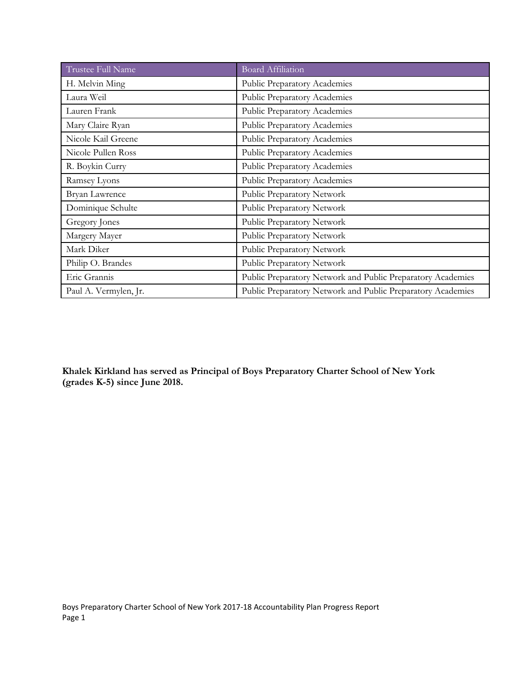| Trustee Full Name     | <b>Board Affiliation</b>                                    |  |  |  |
|-----------------------|-------------------------------------------------------------|--|--|--|
| H. Melvin Ming        | Public Preparatory Academies                                |  |  |  |
| Laura Weil            | Public Preparatory Academies                                |  |  |  |
| Lauren Frank          | Public Preparatory Academies                                |  |  |  |
| Mary Claire Ryan      | Public Preparatory Academies                                |  |  |  |
| Nicole Kail Greene    | Public Preparatory Academies                                |  |  |  |
| Nicole Pullen Ross    | Public Preparatory Academies                                |  |  |  |
| R. Boykin Curry       | Public Preparatory Academies                                |  |  |  |
| Ramsey Lyons          | Public Preparatory Academies                                |  |  |  |
| Bryan Lawrence        | Public Preparatory Network                                  |  |  |  |
| Dominique Schulte     | Public Preparatory Network                                  |  |  |  |
| Gregory Jones         | Public Preparatory Network                                  |  |  |  |
| Margery Mayer         | Public Preparatory Network                                  |  |  |  |
| Mark Diker            | Public Preparatory Network                                  |  |  |  |
| Philip O. Brandes     | Public Preparatory Network                                  |  |  |  |
| Eric Grannis          | Public Preparatory Network and Public Preparatory Academies |  |  |  |
| Paul A. Vermylen, Jr. | Public Preparatory Network and Public Preparatory Academies |  |  |  |

**Khalek Kirkland has served as Principal of Boys Preparatory Charter School of New York (grades K-5) since June 2018.**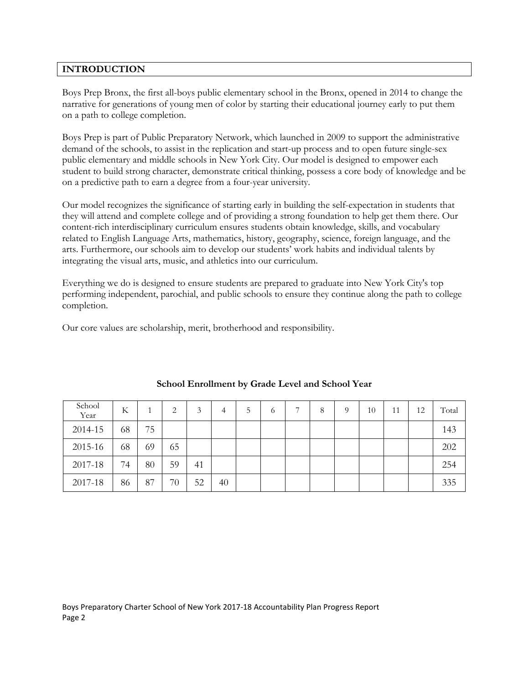# **INTRODUCTION**

Boys Prep Bronx, the first all-boys public elementary school in the Bronx, opened in 2014 to change the narrative for generations of young men of color by starting their educational journey early to put them on a path to college completion.

Boys Prep is part of Public Preparatory Network, which launched in 2009 to support the administrative demand of the schools, to assist in the replication and start-up process and to open future single-sex public elementary and middle schools in New York City. Our model is designed to empower each student to build strong character, demonstrate critical thinking, possess a core body of knowledge and be on a predictive path to earn a degree from a four-year university.

Our model recognizes the significance of starting early in building the self-expectation in students that they will attend and complete college and of providing a strong foundation to help get them there. Our content-rich interdisciplinary curriculum ensures students obtain knowledge, skills, and vocabulary related to English Language Arts, mathematics, history, geography, science, foreign language, and the arts. Furthermore, our schools aim to develop our students' work habits and individual talents by integrating the visual arts, music, and athletics into our curriculum.

Everything we do is designed to ensure students are prepared to graduate into New York City's top performing independent, parochial, and public schools to ensure they continue along the path to college completion.

Our core values are scholarship, merit, brotherhood and responsibility.

| School<br>Year | K  |    | 2  | 3  | 4  | C | 6 | $\overline{ }$ | 8 | 9 | 10 | 11 | 12 | Total |
|----------------|----|----|----|----|----|---|---|----------------|---|---|----|----|----|-------|
| 2014-15        | 68 | 75 |    |    |    |   |   |                |   |   |    |    |    | 143   |
| 2015-16        | 68 | 69 | 65 |    |    |   |   |                |   |   |    |    |    | 202   |
| 2017-18        | 74 | 80 | 59 | 41 |    |   |   |                |   |   |    |    |    | 254   |
| 2017-18        | 86 | 87 | 70 | 52 | 40 |   |   |                |   |   |    |    |    | 335   |

# **School Enrollment by Grade Level and School Year**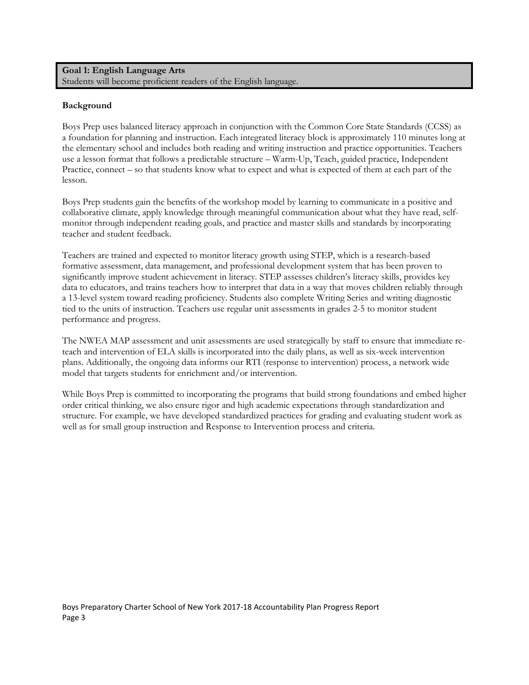# **Goal 1: English Language Arts** Students will become proficient readers of the English language.

# **Background**

Boys Prep uses balanced literacy approach in conjunction with the Common Core State Standards (CCSS) as a foundation for planning and instruction. Each integrated literacy block is approximately 110 minutes long at the elementary school and includes both reading and writing instruction and practice opportunities. Teachers use a lesson format that follows a predictable structure – Warm-Up, Teach, guided practice, Independent Practice, connect – so that students know what to expect and what is expected of them at each part of the lesson.

Boys Prep students gain the benefits of the workshop model by learning to communicate in a positive and collaborative climate, apply knowledge through meaningful communication about what they have read, selfmonitor through independent reading goals, and practice and master skills and standards by incorporating teacher and student feedback.

Teachers are trained and expected to monitor literacy growth using STEP, which is a research-based formative assessment, data management, and professional development system that has been proven to significantly improve student achievement in literacy. STEP assesses children's literacy skills, provides key data to educators, and trains teachers how to interpret that data in a way that moves children reliably through a 13-level system toward reading proficiency. Students also complete Writing Series and writing diagnostic tied to the units of instruction. Teachers use regular unit assessments in grades 2-5 to monitor student performance and progress.

The NWEA MAP assessment and unit assessments are used strategically by staff to ensure that immediate reteach and intervention of ELA skills is incorporated into the daily plans, as well as six-week intervention plans. Additionally, the ongoing data informs our RTI (response to intervention) process, a network wide model that targets students for enrichment and/or intervention.

While Boys Prep is committed to incorporating the programs that build strong foundations and embed higher order critical thinking, we also ensure rigor and high academic expectations through standardization and structure. For example, we have developed standardized practices for grading and evaluating student work as well as for small group instruction and Response to Intervention process and criteria.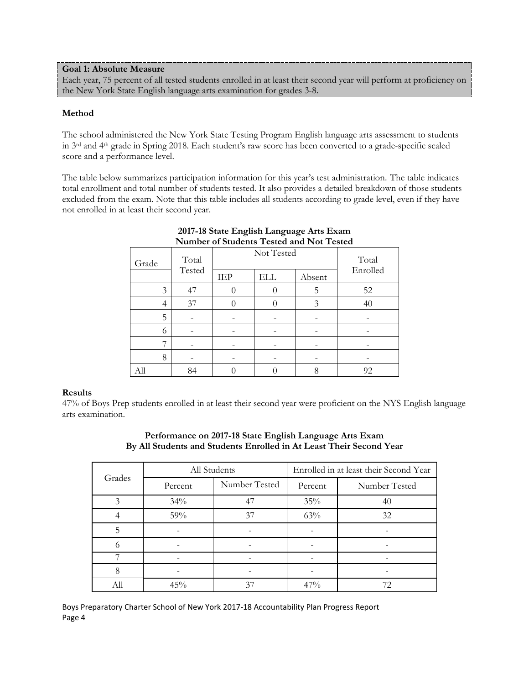## **Goal 1: Absolute Measure**

Each year, 75 percent of all tested students enrolled in at least their second year will perform at proficiency on the New York State English language arts examination for grades 3-8.

## **Method**

The school administered the New York State Testing Program English language arts assessment to students in 3rd and 4th grade in Spring 2018. Each student's raw score has been converted to a grade-specific scaled score and a performance level.

The table below summarizes participation information for this year's test administration. The table indicates total enrollment and total number of students tested. It also provides a detailed breakdown of those students excluded from the exam. Note that this table includes all students according to grade level, even if they have not enrolled in at least their second year.

| Grade | Not Tested<br>Total |                                    |                  |   | Total<br>Enrolled |  |
|-------|---------------------|------------------------------------|------------------|---|-------------------|--|
|       | Tested              | <b>IEP</b><br><b>ELL</b><br>Absent |                  |   |                   |  |
| 3     | 47                  |                                    | $\left( \right)$ | 5 | 52                |  |
| 4     | 37                  |                                    |                  | 3 | 40                |  |
| 5     |                     |                                    |                  |   |                   |  |
| 6     |                     |                                    |                  |   |                   |  |
|       |                     |                                    |                  |   |                   |  |
| 8     |                     |                                    |                  |   |                   |  |
| All   | 84                  |                                    |                  |   | 92                |  |

# **2017-18 State English Language Arts Exam Number of Students Tested and Not Tested**

# **Results**

47% of Boys Prep students enrolled in at least their second year were proficient on the NYS English language arts examination.

|        | All Students |               | Enrolled in at least their Second Year |               |  |  |
|--------|--------------|---------------|----------------------------------------|---------------|--|--|
| Grades | Percent      | Number Tested | Percent                                | Number Tested |  |  |
|        | 34%          | 47            | 35%                                    | 40            |  |  |
|        | 59%          | 37            | 63%                                    | 32            |  |  |
| 5      |              |               |                                        |               |  |  |
|        |              |               |                                        |               |  |  |
|        |              |               |                                        |               |  |  |
| 8      |              |               |                                        |               |  |  |
| All    | 45%          | 37            | $47\%$                                 | 72.           |  |  |

# **Performance on 2017-18 State English Language Arts Exam By All Students and Students Enrolled in At Least Their Second Year**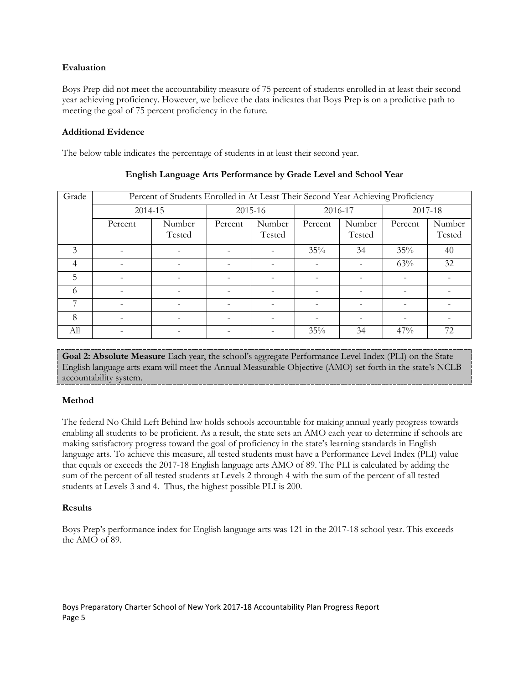# **Evaluation**

Boys Prep did not meet the accountability measure of 75 percent of students enrolled in at least their second year achieving proficiency. However, we believe the data indicates that Boys Prep is on a predictive path to meeting the goal of 75 percent proficiency in the future.

# **Additional Evidence**

The below table indicates the percentage of students in at least their second year.

| Grade |         | Percent of Students Enrolled in At Least Their Second Year Achieving Proficiency |                          |                          |         |                  |         |                  |
|-------|---------|----------------------------------------------------------------------------------|--------------------------|--------------------------|---------|------------------|---------|------------------|
|       | 2014-15 |                                                                                  |                          | 2015-16                  | 2016-17 |                  | 2017-18 |                  |
|       | Percent | Number<br>Tested                                                                 | Percent                  | Number<br>Tested         | Percent | Number<br>Tested | Percent | Number<br>Tested |
| 3     |         |                                                                                  | $\overline{\phantom{0}}$ | $\overline{\phantom{0}}$ | 35%     | 34               | 35%     | 40               |
| 4     |         |                                                                                  |                          |                          |         |                  | 63%     | 32               |
| 5     |         |                                                                                  |                          |                          |         |                  |         |                  |
| 6     |         |                                                                                  |                          |                          |         |                  |         |                  |
| 7     |         |                                                                                  |                          |                          |         |                  |         |                  |
| 8     |         |                                                                                  |                          |                          |         |                  |         |                  |
| All   |         |                                                                                  |                          |                          | 35%     | 34               | 47%     | 72               |

# **English Language Arts Performance by Grade Level and School Year**

**Goal 2: Absolute Measure** Each year, the school's aggregate Performance Level Index (PLI) on the State English language arts exam will meet the Annual Measurable Objective (AMO) set forth in the state's NCLB accountability system.

# **Method**

The federal No Child Left Behind law holds schools accountable for making annual yearly progress towards enabling all students to be proficient. As a result, the state sets an AMO each year to determine if schools are making satisfactory progress toward the goal of proficiency in the state's learning standards in English language arts. To achieve this measure, all tested students must have a Performance Level Index (PLI) value that equals or exceeds the 2017-18 English language arts AMO of 89. The PLI is calculated by adding the sum of the percent of all tested students at Levels 2 through 4 with the sum of the percent of all tested students at Levels 3 and 4. Thus, the highest possible PLI is 200.

# **Results**

Boys Prep's performance index for English language arts was 121 in the 2017-18 school year. This exceeds the AMO of 89.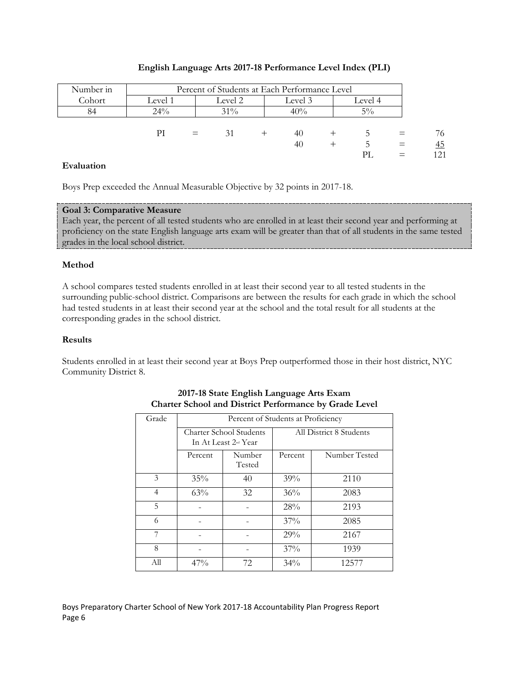| Number in |         |     |                    |  | Percent of Students at Each Performance Level |         |       |     |
|-----------|---------|-----|--------------------|--|-----------------------------------------------|---------|-------|-----|
| Cohort    | Level 1 |     | Level 2<br>Level 3 |  |                                               | Level 4 |       |     |
| 84        | $24\%$  |     | $31\%$             |  | 40%                                           |         | $5\%$ |     |
|           |         |     |                    |  |                                               |         |       |     |
|           | РI      | $=$ | 31                 |  | 40                                            |         |       | 76  |
|           |         |     |                    |  | 40                                            |         | C.    | 45  |
|           |         |     |                    |  |                                               |         | PL    | 121 |

## **English Language Arts 2017-18 Performance Level Index (PLI)**

## **Evaluation**

Boys Prep exceeded the Annual Measurable Objective by 32 points in 2017-18.

## **Goal 3: Comparative Measure**

Each year, the percent of all tested students who are enrolled in at least their second year and performing at proficiency on the state English language arts exam will be greater than that of all students in the same tested grades in the local school district.

## **Method**

A school compares tested students enrolled in at least their second year to all tested students in the surrounding public-school district. Comparisons are between the results for each grade in which the school had tested students in at least their second year at the school and the total result for all students at the corresponding grades in the school district.

#### **Results**

Students enrolled in at least their second year at Boys Prep outperformed those in their host district, NYC Community District 8.

| Grade          |         | Percent of Students at Proficiency                     |                         |               |  |  |  |  |
|----------------|---------|--------------------------------------------------------|-------------------------|---------------|--|--|--|--|
|                |         | <b>Charter School Students</b><br>In At Least 2nd Year | All District 8 Students |               |  |  |  |  |
|                | Percent | Number<br>Tested                                       | Percent                 | Number Tested |  |  |  |  |
| 3              | $35\%$  | 40                                                     | 39%                     | 2110          |  |  |  |  |
| $\overline{4}$ | 63%     | 32                                                     | 36%                     | 2083          |  |  |  |  |
| 5              |         |                                                        | 28%                     | 2193          |  |  |  |  |
| 6              |         |                                                        | $37\%$                  | 2085          |  |  |  |  |
| 7              |         |                                                        | 29%                     | 2167          |  |  |  |  |
| 8              |         |                                                        | $37\%$                  | 1939          |  |  |  |  |
| All            | 47%     | 72                                                     | 34%                     | 12577         |  |  |  |  |

## **2017-18 State English Language Arts Exam Charter School and District Performance by Grade Level**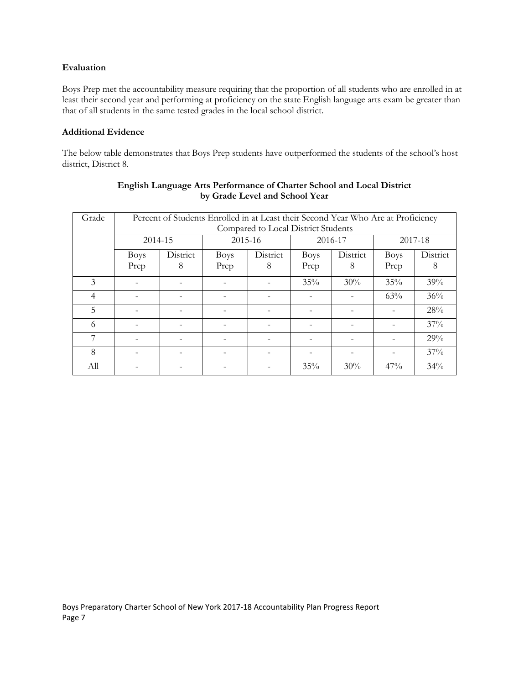## **Evaluation**

Boys Prep met the accountability measure requiring that the proportion of all students who are enrolled in at least their second year and performing at proficiency on the state English language arts exam be greater than that of all students in the same tested grades in the local school district.

#### **Additional Evidence**

The below table demonstrates that Boys Prep students have outperformed the students of the school's host district, District 8.

| Grade          |                          | Percent of Students Enrolled in at Least their Second Year Who Are at Proficiency<br>Compared to Local District Students |                     |               |                     |                          |                     |               |
|----------------|--------------------------|--------------------------------------------------------------------------------------------------------------------------|---------------------|---------------|---------------------|--------------------------|---------------------|---------------|
|                | 2014-15                  |                                                                                                                          | 2015-16             |               |                     | 2016-17                  |                     | 2017-18       |
|                | <b>Boys</b><br>Prep      | District<br>8                                                                                                            | <b>Boys</b><br>Prep | District<br>8 | <b>Boys</b><br>Prep | District<br>8            | <b>Boys</b><br>Prep | District<br>8 |
| 3              |                          |                                                                                                                          |                     |               | 35%                 | 30%                      | 35%                 | 39%           |
| $\overline{4}$ |                          |                                                                                                                          |                     |               |                     |                          | 63%                 | $36\%$        |
| 5              | $\overline{\phantom{a}}$ |                                                                                                                          |                     |               |                     | $\overline{\phantom{a}}$ |                     | 28%           |
| 6              |                          |                                                                                                                          |                     |               |                     |                          |                     | 37%           |
|                |                          |                                                                                                                          |                     |               |                     |                          |                     | 29%           |
| 8              |                          |                                                                                                                          |                     |               |                     |                          |                     | 37%           |
| All            |                          |                                                                                                                          |                     |               | 35%                 | 30%                      | 47%                 | 34%           |

# **English Language Arts Performance of Charter School and Local District by Grade Level and School Year**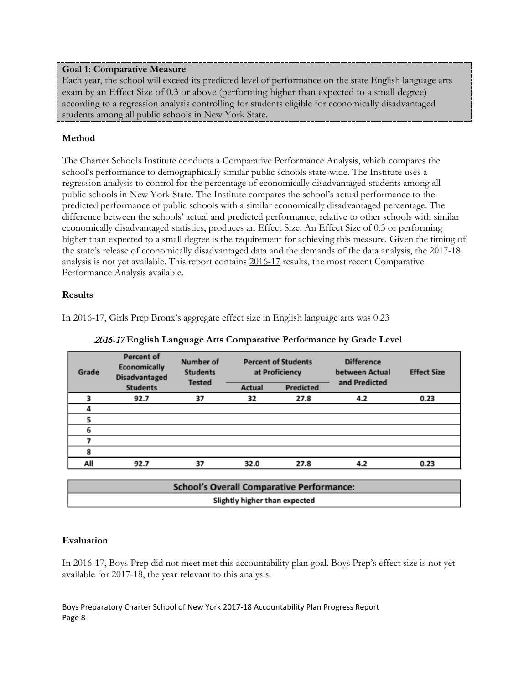# **Goal 1: Comparative Measure**

Each year, the school will exceed its predicted level of performance on the state English language arts exam by an Effect Size of 0.3 or above (performing higher than expected to a small degree) according to a regression analysis controlling for students eligible for economically disadvantaged students among all public schools in New York State.

# **Method**

The Charter Schools Institute conducts a Comparative Performance Analysis, which compares the school's performance to demographically similar public schools state-wide. The Institute uses a regression analysis to control for the percentage of economically disadvantaged students among all public schools in New York State. The Institute compares the school's actual performance to the predicted performance of public schools with a similar economically disadvantaged percentage. The difference between the schools' actual and predicted performance, relative to other schools with similar economically disadvantaged statistics, produces an Effect Size. An Effect Size of 0.3 or performing higher than expected to a small degree is the requirement for achieving this measure. Given the timing of the state's release of economically disadvantaged data and the demands of the data analysis, the 2017-18 analysis is not yet available. This report contains 2016-17 results, the most recent Comparative Performance Analysis available.

# **Results**

In 2016-17, Girls Prep Bronx's aggregate effect size in English language arts was 0.23

| Grade | <b>Percent of</b><br>Economically<br><b>Disadvantaged</b> | Number of<br><b>Students</b> |        | <b>Percent of Students</b><br>at Proficiency | <b>Difference</b><br>between Actual | <b>Effect Size</b> |
|-------|-----------------------------------------------------------|------------------------------|--------|----------------------------------------------|-------------------------------------|--------------------|
|       | <b>Students</b>                                           | <b>Tested</b>                | Actual | Predicted                                    | and Predicted                       |                    |
|       | 92.7                                                      | 37                           | 32     | 27.8                                         | 4.2                                 | 0.23               |
|       |                                                           |                              |        |                                              |                                     |                    |
|       |                                                           |                              |        |                                              |                                     |                    |
| 6     |                                                           |                              |        |                                              |                                     |                    |
|       |                                                           |                              |        |                                              |                                     |                    |
| 8     |                                                           |                              |        |                                              |                                     |                    |
| All   | 92.7                                                      | 37                           | 32.0   | 27.8                                         | 4.2                                 | 0.23               |
|       |                                                           |                              |        |                                              |                                     |                    |

2016-17 **English Language Arts Comparative Performance by Grade Level**

| <b>School's Overall Comparative Performance:</b> |  |
|--------------------------------------------------|--|
| Slightly higher than expected                    |  |

# **Evaluation**

In 2016-17, Boys Prep did not meet met this accountability plan goal. Boys Prep's effect size is not yet available for 2017-18, the year relevant to this analysis.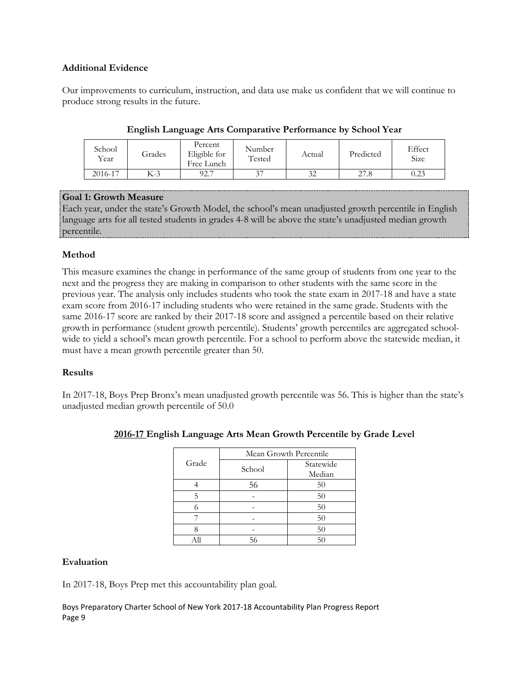# **Additional Evidence**

Our improvements to curriculum, instruction, and data use make us confident that we will continue to produce strong results in the future.

| School<br>Year | Grades | Percent<br>Eligible for<br>Free Lunch | Number<br>Tested | Actual | Predicted | Effect<br><b>Size</b> |
|----------------|--------|---------------------------------------|------------------|--------|-----------|-----------------------|
| 2016-17        | K-3    | 92.7                                  | 37               | 32     | 27.8      | 0.23                  |

# **English Language Arts Comparative Performance by School Year**

# **Goal 1: Growth Measure**

Each year, under the state's Growth Model, the school's mean unadjusted growth percentile in English language arts for all tested students in grades 4-8 will be above the state's unadjusted median growth percentile.

# **Method**

This measure examines the change in performance of the same group of students from one year to the next and the progress they are making in comparison to other students with the same score in the previous year. The analysis only includes students who took the state exam in 2017-18 and have a state exam score from 2016-17 including students who were retained in the same grade. Students with the same 2016-17 score are ranked by their 2017-18 score and assigned a percentile based on their relative growth in performance (student growth percentile). Students' growth percentiles are aggregated schoolwide to yield a school's mean growth percentile. For a school to perform above the statewide median, it must have a mean growth percentile greater than 50.

# **Results**

In 2017-18, Boys Prep Bronx's mean unadjusted growth percentile was 56. This is higher than the state's unadjusted median growth percentile of 50.0

|       |        | Mean Growth Percentile |
|-------|--------|------------------------|
| Grade | School | Statewide              |
|       |        | Median                 |
|       | 56     | 50                     |
| 5     |        | 50                     |
|       |        | 50                     |
|       |        | 50                     |
|       |        | 50                     |
|       |        | 50                     |

# **2016-17 English Language Arts Mean Growth Percentile by Grade Level**

# **Evaluation**

In 2017-18, Boys Prep met this accountability plan goal.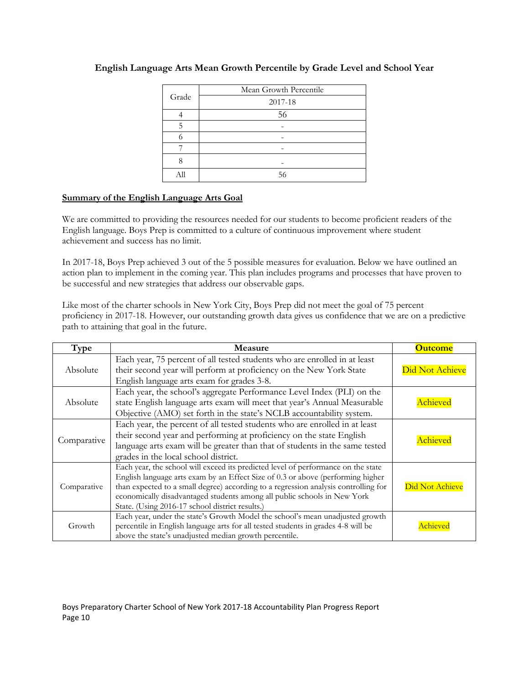| Grade | Mean Growth Percentile |
|-------|------------------------|
|       | 2017-18                |
|       | 56                     |
| 5     |                        |
|       |                        |
|       |                        |
|       |                        |
|       | 56                     |

# **English Language Arts Mean Growth Percentile by Grade Level and School Year**

# **Summary of the English Language Arts Goal**

We are committed to providing the resources needed for our students to become proficient readers of the English language. Boys Prep is committed to a culture of continuous improvement where student achievement and success has no limit.

In 2017-18, Boys Prep achieved 3 out of the 5 possible measures for evaluation. Below we have outlined an action plan to implement in the coming year. This plan includes programs and processes that have proven to be successful and new strategies that address our observable gaps.

Like most of the charter schools in New York City, Boys Prep did not meet the goal of 75 percent proficiency in 2017-18. However, our outstanding growth data gives us confidence that we are on a predictive path to attaining that goal in the future.

| Type        | <b>Measure</b>                                                                                                                                                                                                                                                                                                                                                                             | <b>Outcome</b>  |
|-------------|--------------------------------------------------------------------------------------------------------------------------------------------------------------------------------------------------------------------------------------------------------------------------------------------------------------------------------------------------------------------------------------------|-----------------|
| Absolute    | Each year, 75 percent of all tested students who are enrolled in at least<br>their second year will perform at proficiency on the New York State<br>English language arts exam for grades 3-8.                                                                                                                                                                                             | Did Not Achieve |
| Absolute    | Each year, the school's aggregate Performance Level Index (PLI) on the<br>state English language arts exam will meet that year's Annual Measurable<br>Objective (AMO) set forth in the state's NCLB accountability system.                                                                                                                                                                 | <b>Achieved</b> |
| Comparative | Each year, the percent of all tested students who are enrolled in at least<br>their second year and performing at proficiency on the state English<br>language arts exam will be greater than that of students in the same tested<br>grades in the local school district.                                                                                                                  | Achieved        |
| Comparative | Each year, the school will exceed its predicted level of performance on the state<br>English language arts exam by an Effect Size of 0.3 or above (performing higher<br>than expected to a small degree) according to a regression analysis controlling for<br>economically disadvantaged students among all public schools in New York<br>State. (Using 2016-17 school district results.) | Did Not Achieve |
| Growth      | Each year, under the state's Growth Model the school's mean unadjusted growth<br>percentile in English language arts for all tested students in grades 4-8 will be<br>above the state's unadjusted median growth percentile.                                                                                                                                                               | vchievec        |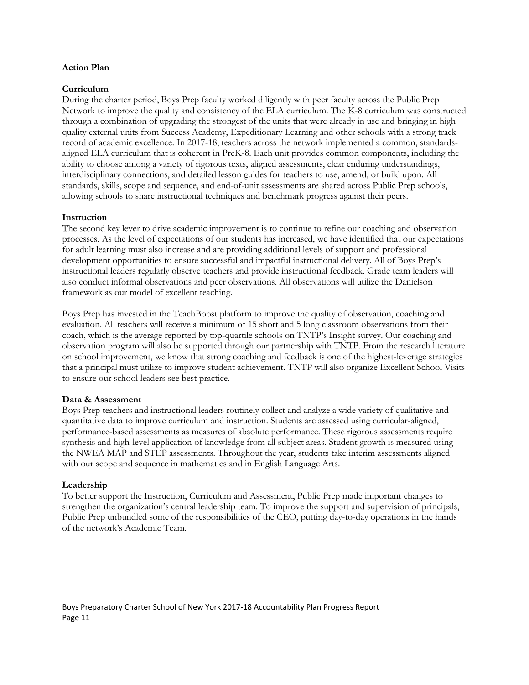#### **Action Plan**

#### **Curriculum**

During the charter period, Boys Prep faculty worked diligently with peer faculty across the Public Prep Network to improve the quality and consistency of the ELA curriculum. The K-8 curriculum was constructed through a combination of upgrading the strongest of the units that were already in use and bringing in high quality external units from Success Academy, Expeditionary Learning and other schools with a strong track record of academic excellence. In 2017-18, teachers across the network implemented a common, standardsaligned ELA curriculum that is coherent in PreK-8. Each unit provides common components, including the ability to choose among a variety of rigorous texts, aligned assessments, clear enduring understandings, interdisciplinary connections, and detailed lesson guides for teachers to use, amend, or build upon. All standards, skills, scope and sequence, and end-of-unit assessments are shared across Public Prep schools, allowing schools to share instructional techniques and benchmark progress against their peers.

#### **Instruction**

The second key lever to drive academic improvement is to continue to refine our coaching and observation processes. As the level of expectations of our students has increased, we have identified that our expectations for adult learning must also increase and are providing additional levels of support and professional development opportunities to ensure successful and impactful instructional delivery. All of Boys Prep's instructional leaders regularly observe teachers and provide instructional feedback. Grade team leaders will also conduct informal observations and peer observations. All observations will utilize the Danielson framework as our model of excellent teaching.

Boys Prep has invested in the TeachBoost platform to improve the quality of observation, coaching and evaluation. All teachers will receive a minimum of 15 short and 5 long classroom observations from their coach, which is the average reported by top-quartile schools on TNTP's Insight survey. Our coaching and observation program will also be supported through our partnership with TNTP. From the research literature on school improvement, we know that strong coaching and feedback is one of the highest-leverage strategies that a principal must utilize to improve student achievement. TNTP will also organize Excellent School Visits to ensure our school leaders see best practice.

#### **Data & Assessment**

Boys Prep teachers and instructional leaders routinely collect and analyze a wide variety of qualitative and quantitative data to improve curriculum and instruction. Students are assessed using curricular-aligned, performance-based assessments as measures of absolute performance. These rigorous assessments require synthesis and high-level application of knowledge from all subject areas. Student growth is measured using the NWEA MAP and STEP assessments. Throughout the year, students take interim assessments aligned with our scope and sequence in mathematics and in English Language Arts.

#### **Leadership**

To better support the Instruction, Curriculum and Assessment, Public Prep made important changes to strengthen the organization's central leadership team. To improve the support and supervision of principals, Public Prep unbundled some of the responsibilities of the CEO, putting day-to-day operations in the hands of the network's Academic Team.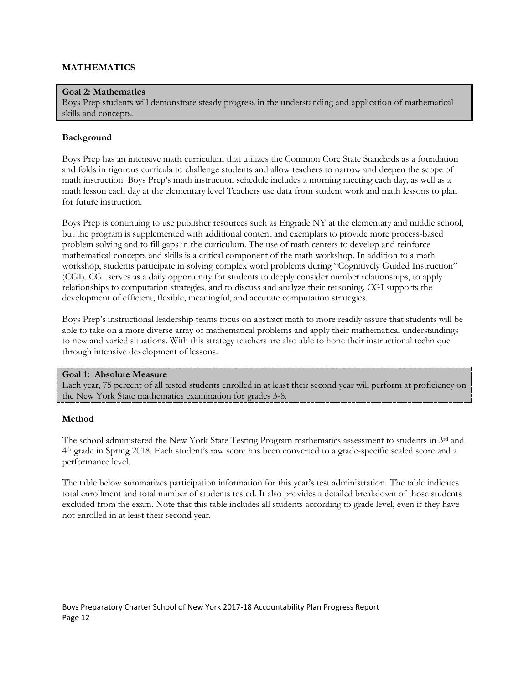## **MATHEMATICS**

#### **Goal 2: Mathematics**

Boys Prep students will demonstrate steady progress in the understanding and application of mathematical skills and concepts.

#### **Background**

Boys Prep has an intensive math curriculum that utilizes the Common Core State Standards as a foundation and folds in rigorous curricula to challenge students and allow teachers to narrow and deepen the scope of math instruction. Boys Prep's math instruction schedule includes a morning meeting each day, as well as a math lesson each day at the elementary level Teachers use data from student work and math lessons to plan for future instruction.

Boys Prep is continuing to use publisher resources such as Engrade NY at the elementary and middle school, but the program is supplemented with additional content and exemplars to provide more process-based problem solving and to fill gaps in the curriculum. The use of math centers to develop and reinforce mathematical concepts and skills is a critical component of the math workshop. In addition to a math workshop, students participate in solving complex word problems during "Cognitively Guided Instruction" (CGI). CGI serves as a daily opportunity for students to deeply consider number relationships, to apply relationships to computation strategies, and to discuss and analyze their reasoning. CGI supports the development of efficient, flexible, meaningful, and accurate computation strategies.

Boys Prep's instructional leadership teams focus on abstract math to more readily assure that students will be able to take on a more diverse array of mathematical problems and apply their mathematical understandings to new and varied situations. With this strategy teachers are also able to hone their instructional technique through intensive development of lessons.

#### **Goal 1: Absolute Measure**

Each year, 75 percent of all tested students enrolled in at least their second year will perform at proficiency on the New York State mathematics examination for grades 3-8.

#### **Method**

The school administered the New York State Testing Program mathematics assessment to students in  $3<sup>rd</sup>$  and 4th grade in Spring 2018. Each student's raw score has been converted to a grade-specific scaled score and a performance level.

The table below summarizes participation information for this year's test administration. The table indicates total enrollment and total number of students tested. It also provides a detailed breakdown of those students excluded from the exam. Note that this table includes all students according to grade level, even if they have not enrolled in at least their second year.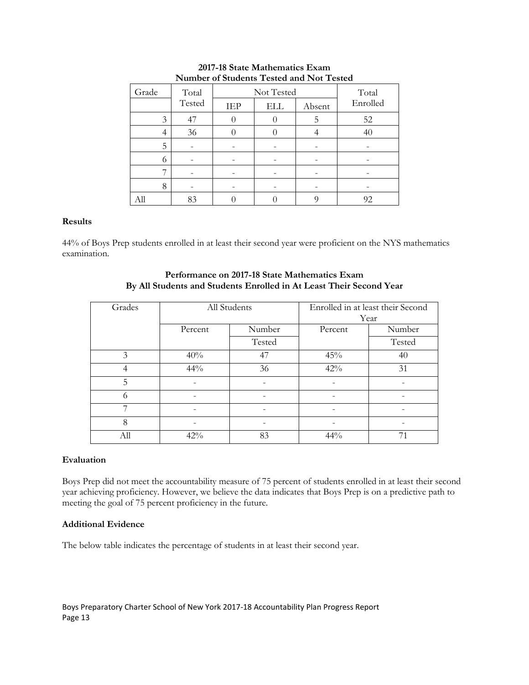| Grade | Total  | Not Tested | Total      |        |          |
|-------|--------|------------|------------|--------|----------|
|       | Tested | IEP        | <b>ELL</b> | Absent | Enrolled |
| 3     | 47     |            |            | 5      | 52       |
| 4     | 36     |            |            |        | 40       |
| 5     |        |            |            |        |          |
| 6     |        |            |            |        |          |
|       |        |            |            |        |          |
| 8     |        |            |            |        |          |
|       | 83     |            |            |        | 92       |

## **2017-18 State Mathematics Exam Number of Students Tested and Not Tested**

## **Results**

44% of Boys Prep students enrolled in at least their second year were proficient on the NYS mathematics examination.

| Grades | All Students |        | Enrolled in at least their Second |        |
|--------|--------------|--------|-----------------------------------|--------|
|        |              |        |                                   | Year   |
|        | Percent      | Number | Percent                           | Number |
|        |              | Tested |                                   | Tested |
| 3      | 40%          | 47     | 45%                               | 40     |
| 4      | $44\%$       | 36     | 42%                               | 31     |
| 5      |              |        |                                   |        |
| 6      |              |        |                                   |        |
|        |              |        |                                   |        |
| 8      |              |        |                                   |        |
| All    | 42%          | 83     | 44%                               |        |

## **Performance on 2017-18 State Mathematics Exam By All Students and Students Enrolled in At Least Their Second Year**

#### **Evaluation**

Boys Prep did not meet the accountability measure of 75 percent of students enrolled in at least their second year achieving proficiency. However, we believe the data indicates that Boys Prep is on a predictive path to meeting the goal of 75 percent proficiency in the future.

#### **Additional Evidence**

The below table indicates the percentage of students in at least their second year.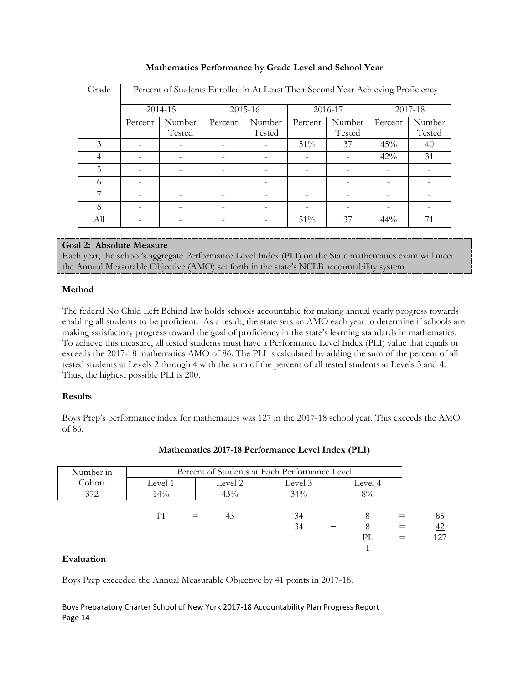| Percent of Students Enrolled in At Least Their Second Year Achieving Proficiency<br>Grade<br>2014-15<br>2015-16<br>2016-17<br>2017-18<br>Number<br>Number<br>Number<br>Number<br>Percent<br>Percent<br>Percent<br>Percent<br>Tested<br>Tested<br>Tested<br>Tested<br>3<br>51%<br>45%<br>37<br>40 |  |
|--------------------------------------------------------------------------------------------------------------------------------------------------------------------------------------------------------------------------------------------------------------------------------------------------|--|
|                                                                                                                                                                                                                                                                                                  |  |
|                                                                                                                                                                                                                                                                                                  |  |
|                                                                                                                                                                                                                                                                                                  |  |
|                                                                                                                                                                                                                                                                                                  |  |
| 42%<br>31<br>4                                                                                                                                                                                                                                                                                   |  |
| 5                                                                                                                                                                                                                                                                                                |  |
| 6                                                                                                                                                                                                                                                                                                |  |
| 7                                                                                                                                                                                                                                                                                                |  |
| 8                                                                                                                                                                                                                                                                                                |  |
| 51%<br>37<br>$44\%$<br>All<br>71                                                                                                                                                                                                                                                                 |  |

# **Mathematics Performance by Grade Level and School Year**

# **Goal 2: Absolute Measure**

Each year, the school's aggregate Performance Level Index (PLI) on the State mathematics exam will meet the Annual Measurable Objective (AMO) set forth in the state's NCLB accountability system.

# **Method**

The federal No Child Left Behind law holds schools accountable for making annual yearly progress towards enabling all students to be proficient. As a result, the state sets an AMO each year to determine if schools are making satisfactory progress toward the goal of proficiency in the state's learning standards in mathematics. To achieve this measure, all tested students must have a Performance Level Index (PLI) value that equals or exceeds the 2017-18 mathematics AMO of 86. The PLI is calculated by adding the sum of the percent of all tested students at Levels 2 through 4 with the sum of the percent of all tested students at Levels 3 and 4. Thus, the highest possible PLI is 200.

# **Results**

Boys Prep's performance index for mathematics was 127 in the 2017-18 school year. This exceeds the AMO of 86.

| Number in | Percent of Students at Each Performance Level |     |         |       |         |  |         |     |
|-----------|-----------------------------------------------|-----|---------|-------|---------|--|---------|-----|
| Cohort    | Level 1                                       |     | Level 2 |       | Level 3 |  | Level 4 |     |
| 372       | $14\%$                                        |     | 43%     |       | 34%     |  | 8%      |     |
|           |                                               |     |         |       |         |  |         |     |
|           | РI                                            | $=$ | 43      | $\pm$ | 34      |  | 8       | 85  |
|           |                                               |     |         |       | 34      |  | 8       | 42  |
|           |                                               |     |         |       |         |  | PL      | 127 |
|           |                                               |     |         |       |         |  |         |     |

# **Mathematics 2017-18 Performance Level Index (PLI)**

#### **Evaluation**

Boys Prep exceeded the Annual Measurable Objective by 41 points in 2017-18.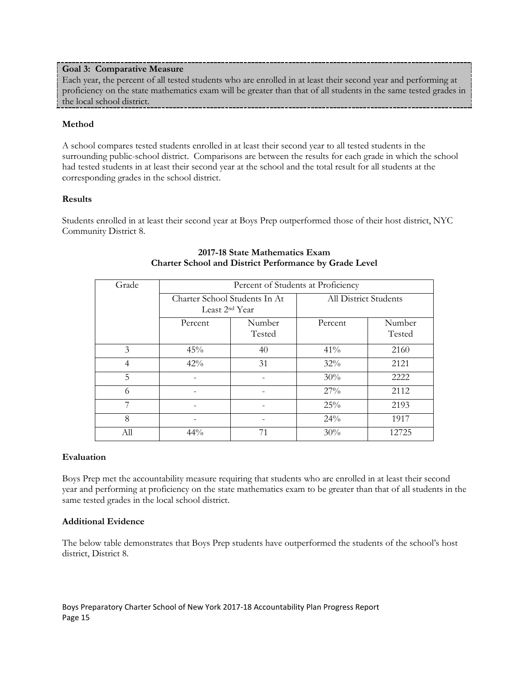## **Goal 3: Comparative Measure**

Each year, the percent of all tested students who are enrolled in at least their second year and performing at proficiency on the state mathematics exam will be greater than that of all students in the same tested grades in the local school district.

# **Method**

A school compares tested students enrolled in at least their second year to all tested students in the surrounding public-school district. Comparisons are between the results for each grade in which the school had tested students in at least their second year at the school and the total result for all students at the corresponding grades in the school district.

#### **Results**

Students enrolled in at least their second year at Boys Prep outperformed those of their host district, NYC Community District 8.

| Grade | Percent of Students at Proficiency |                  |                              |                  |  |
|-------|------------------------------------|------------------|------------------------------|------------------|--|
|       | Charter School Students In At      |                  | <b>All District Students</b> |                  |  |
|       | Least 2 <sup>nd</sup> Year         |                  |                              |                  |  |
|       | Percent                            | Number<br>Tested | Percent                      | Number<br>Tested |  |
| 3     | 45%                                | 40               | $41\%$                       | 2160             |  |
| 4     | 42%                                | 31               | 32%                          | 2121             |  |
| 5     |                                    |                  | 30%                          | 2222             |  |
| 6     |                                    |                  | 27%                          | 2112             |  |
| 7     |                                    |                  | 25%                          | 2193             |  |
| 8     |                                    |                  | 24%                          | 1917             |  |
| All   | $44\%$                             | 71               | 30%                          | 12725            |  |

# **2017-18 State Mathematics Exam Charter School and District Performance by Grade Level**

#### **Evaluation**

Boys Prep met the accountability measure requiring that students who are enrolled in at least their second year and performing at proficiency on the state mathematics exam to be greater than that of all students in the same tested grades in the local school district.

#### **Additional Evidence**

The below table demonstrates that Boys Prep students have outperformed the students of the school's host district, District 8.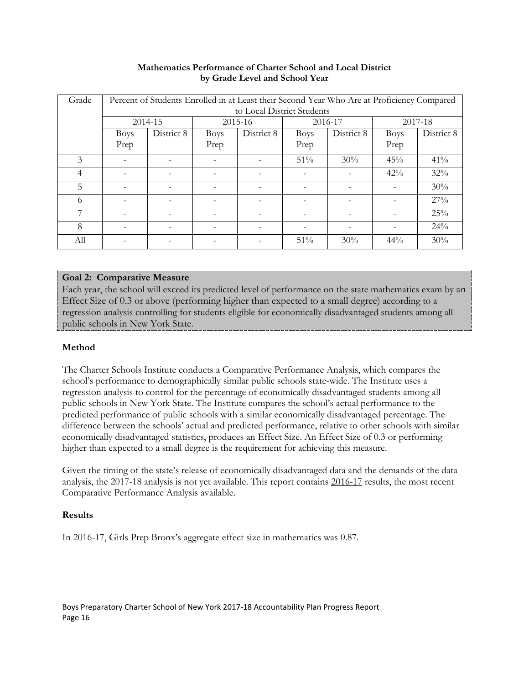| Grade |                          | Percent of Students Enrolled in at Least their Second Year Who Are at Proficiency Compared |             |                            |             |            |             |            |
|-------|--------------------------|--------------------------------------------------------------------------------------------|-------------|----------------------------|-------------|------------|-------------|------------|
|       |                          |                                                                                            |             | to Local District Students |             |            |             |            |
|       |                          | 2014-15                                                                                    |             | 2015-16                    |             | 2016-17    |             | 2017-18    |
|       | <b>Boys</b>              | District 8                                                                                 | <b>Boys</b> | District 8                 | <b>Boys</b> | District 8 | <b>Boys</b> | District 8 |
|       | Prep                     |                                                                                            | Prep        |                            | Prep        |            | Prep        |            |
| 3     |                          |                                                                                            |             |                            | $51\%$      | 30%        | 45%         | $41\%$     |
| 4     | $\qquad \qquad -$        | $\overline{\phantom{a}}$                                                                   | -           |                            |             |            | 42%         | 32%        |
| 5     | $\overline{\phantom{0}}$ |                                                                                            |             |                            |             |            |             | 30%        |
| 6     | $\overline{\phantom{0}}$ |                                                                                            |             |                            |             |            |             | 27%        |
| 7     | $\overline{\phantom{a}}$ |                                                                                            |             |                            |             |            |             | 25%        |
| 8     |                          |                                                                                            |             |                            |             |            |             | 24%        |
| All   |                          |                                                                                            |             |                            | 51%         | 30%        | 44%         | 30%        |

## **Mathematics Performance of Charter School and Local District by Grade Level and School Year**

# **Goal 2: Comparative Measure**

Each year, the school will exceed its predicted level of performance on the state mathematics exam by an Effect Size of 0.3 or above (performing higher than expected to a small degree) according to a regression analysis controlling for students eligible for economically disadvantaged students among all public schools in New York State.

# **Method**

The Charter Schools Institute conducts a Comparative Performance Analysis, which compares the school's performance to demographically similar public schools state-wide. The Institute uses a regression analysis to control for the percentage of economically disadvantaged students among all public schools in New York State. The Institute compares the school's actual performance to the predicted performance of public schools with a similar economically disadvantaged percentage. The difference between the schools' actual and predicted performance, relative to other schools with similar economically disadvantaged statistics, produces an Effect Size. An Effect Size of 0.3 or performing higher than expected to a small degree is the requirement for achieving this measure.

Given the timing of the state's release of economically disadvantaged data and the demands of the data analysis, the 2017-18 analysis is not yet available. This report contains 2016-17 results, the most recent Comparative Performance Analysis available.

# **Results**

In 2016-17, Girls Prep Bronx's aggregate effect size in mathematics was 0.87.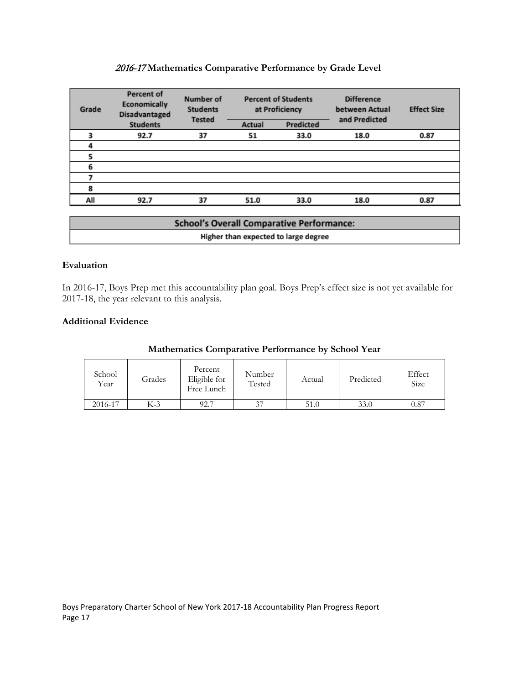# 2016-17 **Mathematics Comparative Performance by Grade Level**

| Grade | <b>Percent of</b><br>Number of<br>Economically<br><b>Students</b><br>Disadvantaged<br><b>Tested</b> |    | <b>Percent of Students</b><br>at Proficiency |           | <b>Difference</b><br>between Actual<br>and Predicted | <b>Effect Size</b> |
|-------|-----------------------------------------------------------------------------------------------------|----|----------------------------------------------|-----------|------------------------------------------------------|--------------------|
|       | <b>Students</b>                                                                                     |    | Actual                                       | Predicted |                                                      |                    |
|       | 92.7                                                                                                | 37 | 51                                           | 33.0      | 18.0                                                 | 0.87               |
|       |                                                                                                     |    |                                              |           |                                                      |                    |
|       |                                                                                                     |    |                                              |           |                                                      |                    |
| 6     |                                                                                                     |    |                                              |           |                                                      |                    |
|       |                                                                                                     |    |                                              |           |                                                      |                    |
| 8     |                                                                                                     |    |                                              |           |                                                      |                    |
| All   | 92.7                                                                                                | 37 | 51.0                                         | 33.0      | 18.0                                                 | 0.87               |

| <b>School's Overall Comparative Performance:</b> |
|--------------------------------------------------|
| Higher than expected to large degree             |

## **Evaluation**

In 2016-17, Boys Prep met this accountability plan goal. Boys Prep's effect size is not yet available for 2017-18, the year relevant to this analysis.

## **Additional Evidence**

| School<br>Year | Grades | Percent<br>Eligible for<br>Free Lunch | Number<br>Tested | Actual | Predicted | Effect<br>Size |
|----------------|--------|---------------------------------------|------------------|--------|-----------|----------------|
| 2016-17        | K-3    | 92.7                                  | 37               | 51.0   | 33.0      | 0.87           |

# **Mathematics Comparative Performance by School Year**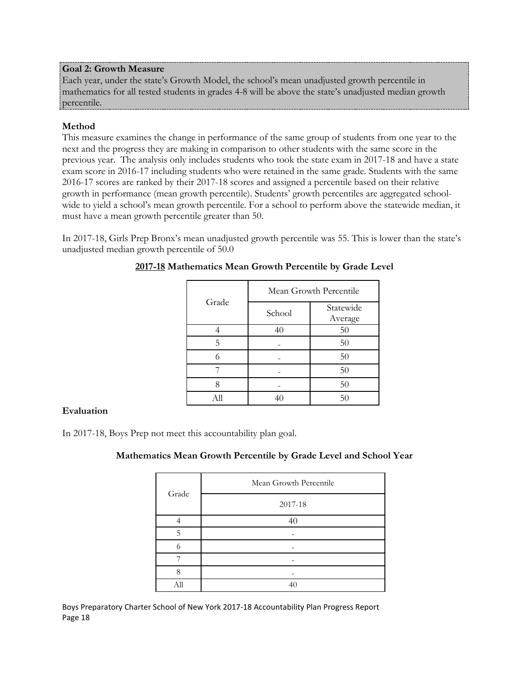# **Goal 2: Growth Measure**

Each year, under the state's Growth Model, the school's mean unadjusted growth percentile in mathematics for all tested students in grades 4-8 will be above the state's unadjusted median growth percentile.

# **Method**

This measure examines the change in performance of the same group of students from one year to the next and the progress they are making in comparison to other students with the same score in the previous year. The analysis only includes students who took the state exam in 2017-18 and have a state exam score in 2016-17 including students who were retained in the same grade. Students with the same 2016-17 scores are ranked by their 2017-18 scores and assigned a percentile based on their relative growth in performance (mean growth percentile). Students' growth percentiles are aggregated schoolwide to yield a school's mean growth percentile. For a school to perform above the statewide median, it must have a mean growth percentile greater than 50.

In 2017-18, Girls Prep Bronx's mean unadjusted growth percentile was 55. This is lower than the state's unadjusted median growth percentile of 50.0

|       | Mean Growth Percentile |                      |  |  |
|-------|------------------------|----------------------|--|--|
| Grade | School                 | Statewide<br>Average |  |  |
|       | 40                     | 50                   |  |  |
| 5     |                        | 50                   |  |  |
| 6     |                        | 50                   |  |  |
|       |                        | 50                   |  |  |
|       |                        | 50                   |  |  |
| All   | 40                     | 50                   |  |  |

# **2017-18 Mathematics Mean Growth Percentile by Grade Level**

# **Evaluation**

In 2017-18, Boys Prep not meet this accountability plan goal.

# **Mathematics Mean Growth Percentile by Grade Level and School Year**

| Grade | Mean Growth Percentile |
|-------|------------------------|
|       | 2017-18                |
|       | 40                     |
| 5     |                        |
| 6     |                        |
|       |                        |
| 8     |                        |
| All   | 40                     |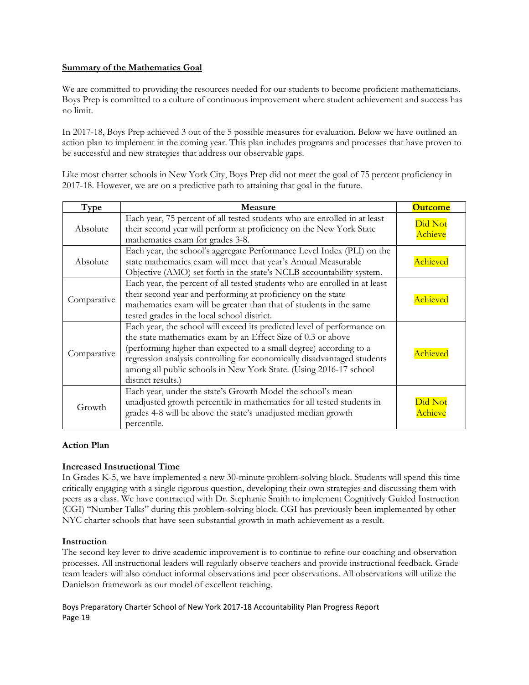# **Summary of the Mathematics Goal**

We are committed to providing the resources needed for our students to become proficient mathematicians. Boys Prep is committed to a culture of continuous improvement where student achievement and success has no limit.

In 2017-18, Boys Prep achieved 3 out of the 5 possible measures for evaluation. Below we have outlined an action plan to implement in the coming year. This plan includes programs and processes that have proven to be successful and new strategies that address our observable gaps.

Like most charter schools in New York City, Boys Prep did not meet the goal of 75 percent proficiency in 2017-18. However, we are on a predictive path to attaining that goal in the future.

| Type        | Measure                                                                                                                                                                                                                                                                                                                                                                             | <b>Outcome</b>            |
|-------------|-------------------------------------------------------------------------------------------------------------------------------------------------------------------------------------------------------------------------------------------------------------------------------------------------------------------------------------------------------------------------------------|---------------------------|
| Absolute    | Each year, 75 percent of all tested students who are enrolled in at least<br>their second year will perform at proficiency on the New York State<br>mathematics exam for grades 3-8.                                                                                                                                                                                                | Did Not<br>Achieve        |
| Absolute    | Each year, the school's aggregate Performance Level Index (PLI) on the<br>state mathematics exam will meet that year's Annual Measurable<br>Objective (AMO) set forth in the state's NCLB accountability system.                                                                                                                                                                    | Achieved                  |
| Comparative | Each year, the percent of all tested students who are enrolled in at least<br>their second year and performing at proficiency on the state<br>mathematics exam will be greater than that of students in the same<br>tested grades in the local school district.                                                                                                                     | Achievec                  |
| Comparative | Each year, the school will exceed its predicted level of performance on<br>the state mathematics exam by an Effect Size of 0.3 or above<br>(performing higher than expected to a small degree) according to a<br>regression analysis controlling for economically disadvantaged students<br>among all public schools in New York State. (Using 2016-17 school<br>district results.) | Achieved                  |
| Growth      | Each year, under the state's Growth Model the school's mean<br>unadjusted growth percentile in mathematics for all tested students in<br>grades 4-8 will be above the state's unadjusted median growth<br>percentile.                                                                                                                                                               | Did Not<br><b>Achieve</b> |

#### **Action Plan**

# **Increased Instructional Time**

In Grades K-5, we have implemented a new 30-minute problem-solving block. Students will spend this time critically engaging with a single rigorous question, developing their own strategies and discussing them with peers as a class. We have contracted with Dr. Stephanie Smith to implement Cognitively Guided Instruction (CGI) "Number Talks" during this problem-solving block. CGI has previously been implemented by other NYC charter schools that have seen substantial growth in math achievement as a result.

#### **Instruction**

The second key lever to drive academic improvement is to continue to refine our coaching and observation processes. All instructional leaders will regularly observe teachers and provide instructional feedback. Grade team leaders will also conduct informal observations and peer observations. All observations will utilize the Danielson framework as our model of excellent teaching.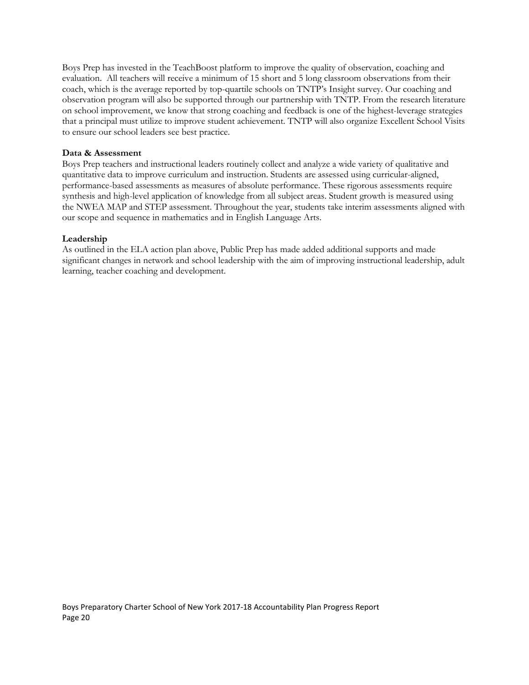Boys Prep has invested in the TeachBoost platform to improve the quality of observation, coaching and evaluation. All teachers will receive a minimum of 15 short and 5 long classroom observations from their coach, which is the average reported by top-quartile schools on TNTP's Insight survey. Our coaching and observation program will also be supported through our partnership with TNTP. From the research literature on school improvement, we know that strong coaching and feedback is one of the highest-leverage strategies that a principal must utilize to improve student achievement. TNTP will also organize Excellent School Visits to ensure our school leaders see best practice.

#### **Data & Assessment**

Boys Prep teachers and instructional leaders routinely collect and analyze a wide variety of qualitative and quantitative data to improve curriculum and instruction. Students are assessed using curricular-aligned, performance-based assessments as measures of absolute performance. These rigorous assessments require synthesis and high-level application of knowledge from all subject areas. Student growth is measured using the NWEA MAP and STEP assessment. Throughout the year, students take interim assessments aligned with our scope and sequence in mathematics and in English Language Arts.

## **Leadership**

As outlined in the ELA action plan above, Public Prep has made added additional supports and made significant changes in network and school leadership with the aim of improving instructional leadership, adult learning, teacher coaching and development.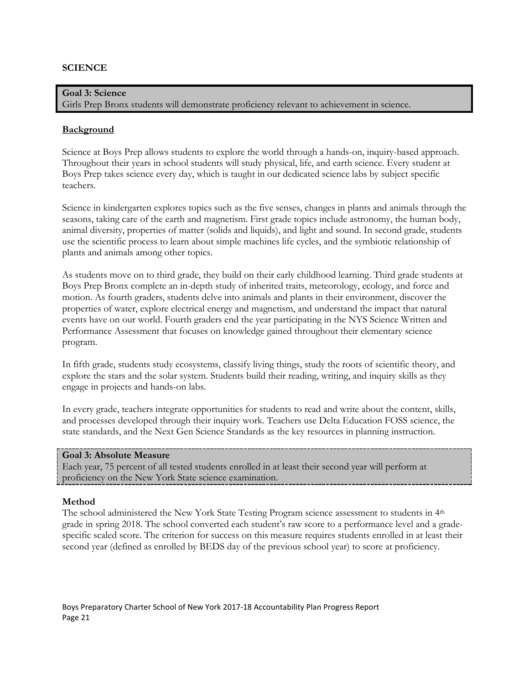# **SCIENCE**

# **Goal 3: Science** Girls Prep Bronx students will demonstrate proficiency relevant to achievement in science.

## **Background**

Science at Boys Prep allows students to explore the world through a hands-on, inquiry-based approach. Throughout their years in school students will study physical, life, and earth science. Every student at Boys Prep takes science every day, which is taught in our dedicated science labs by subject specific teachers.

Science in kindergarten explores topics such as the five senses, changes in plants and animals through the seasons, taking care of the earth and magnetism. First grade topics include astronomy, the human body, animal diversity, properties of matter (solids and liquids), and light and sound. In second grade, students use the scientific process to learn about simple machines life cycles, and the symbiotic relationship of plants and animals among other topics.

As students move on to third grade, they build on their early childhood learning. Third grade students at Boys Prep Bronx complete an in-depth study of inherited traits, meteorology, ecology, and force and motion. As fourth graders, students delve into animals and plants in their environment, discover the properties of water, explore electrical energy and magnetism, and understand the impact that natural events have on our world. Fourth graders end the year participating in the NYS Science Written and Performance Assessment that focuses on knowledge gained throughout their elementary science program.

In fifth grade, students study ecosystems, classify living things, study the roots of scientific theory, and explore the stars and the solar system. Students build their reading, writing, and inquiry skills as they engage in projects and hands-on labs.

In every grade, teachers integrate opportunities for students to read and write about the content, skills, and processes developed through their inquiry work. Teachers use Delta Education FOSS science, the state standards, and the Next Gen Science Standards as the key resources in planning instruction.

#### **Goal 3: Absolute Measure**

Each year, 75 percent of all tested students enrolled in at least their second year will perform at proficiency on the New York State science examination.

#### **Method**

The school administered the New York State Testing Program science assessment to students in  $4<sup>th</sup>$ grade in spring 2018. The school converted each student's raw score to a performance level and a gradespecific scaled score. The criterion for success on this measure requires students enrolled in at least their second year (defined as enrolled by BEDS day of the previous school year) to score at proficiency.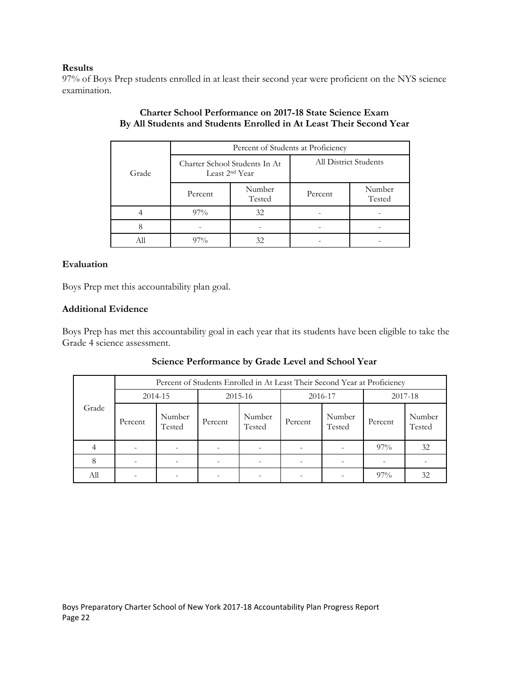## **Results**

97% of Boys Prep students enrolled in at least their second year were proficient on the NYS science examination.

|       | Percent of Students at Proficiency |                               |                       |                  |  |  |
|-------|------------------------------------|-------------------------------|-----------------------|------------------|--|--|
| Grade | Least 2 <sup>nd</sup> Year         | Charter School Students In At | All District Students |                  |  |  |
|       | Percent                            | Number<br>Tested              | Percent               | Number<br>Tested |  |  |
|       | $97\%$                             | 32                            |                       |                  |  |  |
|       |                                    |                               |                       |                  |  |  |
|       | $97\%$                             | 32                            |                       |                  |  |  |

# **Charter School Performance on 2017-18 State Science Exam By All Students and Students Enrolled in At Least Their Second Year**

# **Evaluation**

Boys Prep met this accountability plan goal.

# **Additional Evidence**

Boys Prep has met this accountability goal in each year that its students have been eligible to take the Grade 4 science assessment.

|       | Percent of Students Enrolled in At Least Their Second Year at Proficiency |                  |             |                  |         |                  |         |                  |
|-------|---------------------------------------------------------------------------|------------------|-------------|------------------|---------|------------------|---------|------------------|
|       | 2014-15                                                                   |                  | $2015 - 16$ |                  | 2016-17 |                  | 2017-18 |                  |
| Grade | Percent                                                                   | Number<br>Tested | Percent     | Number<br>Tested | Percent | Number<br>Tested | Percent | Number<br>Tested |
|       | $\overline{\phantom{a}}$                                                  | ۰                |             | -                |         |                  | $97\%$  | 32               |
| 8     | ۰                                                                         |                  |             |                  |         |                  |         |                  |
| Аll   |                                                                           |                  |             |                  |         |                  | 97%     | 32               |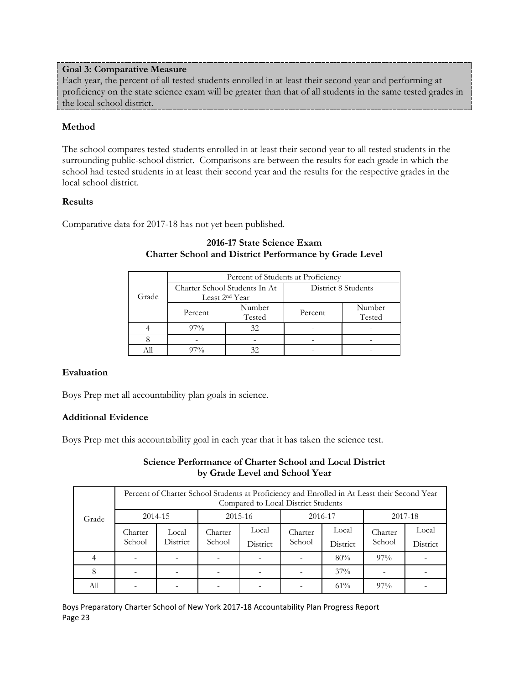# **Goal 3: Comparative Measure**

Each year, the percent of all tested students enrolled in at least their second year and performing at proficiency on the state science exam will be greater than that of all students in the same tested grades in the local school district.

# **Method**

The school compares tested students enrolled in at least their second year to all tested students in the surrounding public-school district. Comparisons are between the results for each grade in which the school had tested students in at least their second year and the results for the respective grades in the local school district.

# **Results**

Comparative data for 2017-18 has not yet been published.

|       | Percent of Students at Proficiency |                               |                     |                  |  |  |
|-------|------------------------------------|-------------------------------|---------------------|------------------|--|--|
| Grade | Least 2 <sup>nd</sup> Year         | Charter School Students In At | District 8 Students |                  |  |  |
|       | Percent                            | Number<br>Tested              | Percent             | Number<br>Tested |  |  |
|       | $97\%$                             | 32                            |                     |                  |  |  |
|       |                                    |                               |                     |                  |  |  |
|       |                                    |                               |                     |                  |  |  |

# **2016-17 State Science Exam Charter School and District Performance by Grade Level**

# **Evaluation**

Boys Prep met all accountability plan goals in science.

# **Additional Evidence**

Boys Prep met this accountability goal in each year that it has taken the science test.

# **Science Performance of Charter School and Local District by Grade Level and School Year**

|       | Percent of Charter School Students at Proficiency and Enrolled in At Least their Second Year<br>Compared to Local District Students |                   |                   |                   |                   |                   |                   |                   |
|-------|-------------------------------------------------------------------------------------------------------------------------------------|-------------------|-------------------|-------------------|-------------------|-------------------|-------------------|-------------------|
| Grade | 2014-15                                                                                                                             |                   | 2015-16           |                   | 2016-17           |                   | 2017-18           |                   |
|       | Charter<br>School                                                                                                                   | Local<br>District | Charter<br>School | Local<br>District | Charter<br>School | Local<br>District | Charter<br>School | Local<br>District |
|       |                                                                                                                                     |                   |                   |                   |                   | 80%               | $97\%$            |                   |
| 8     |                                                                                                                                     |                   |                   |                   |                   | 37%               |                   |                   |
| All   |                                                                                                                                     |                   |                   |                   |                   | 61%               | $97\%$            |                   |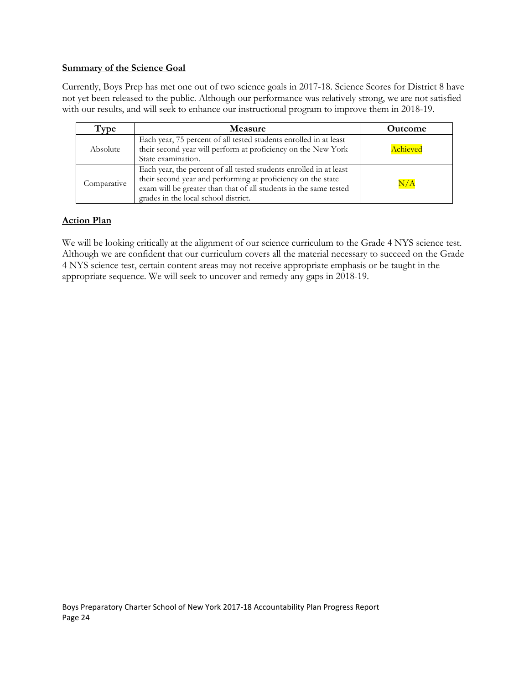## **Summary of the Science Goal**

Currently, Boys Prep has met one out of two science goals in 2017-18. Science Scores for District 8 have not yet been released to the public. Although our performance was relatively strong, we are not satisfied with our results, and will seek to enhance our instructional program to improve them in 2018-19.

| Tvpe        | <b>Measure</b>                                                                                                                                                                                                                                  | <b>Outcome</b> |
|-------------|-------------------------------------------------------------------------------------------------------------------------------------------------------------------------------------------------------------------------------------------------|----------------|
| Absolute    | Each year, 75 percent of all tested students enrolled in at least<br>their second year will perform at proficiency on the New York<br>State examination.                                                                                        | Achieved       |
| Comparative | Each year, the percent of all tested students enrolled in at least<br>their second year and performing at proficiency on the state<br>exam will be greater than that of all students in the same tested<br>grades in the local school district. | $\rm N/A$      |

# **Action Plan**

We will be looking critically at the alignment of our science curriculum to the Grade 4 NYS science test. Although we are confident that our curriculum covers all the material necessary to succeed on the Grade 4 NYS science test, certain content areas may not receive appropriate emphasis or be taught in the appropriate sequence. We will seek to uncover and remedy any gaps in 2018-19.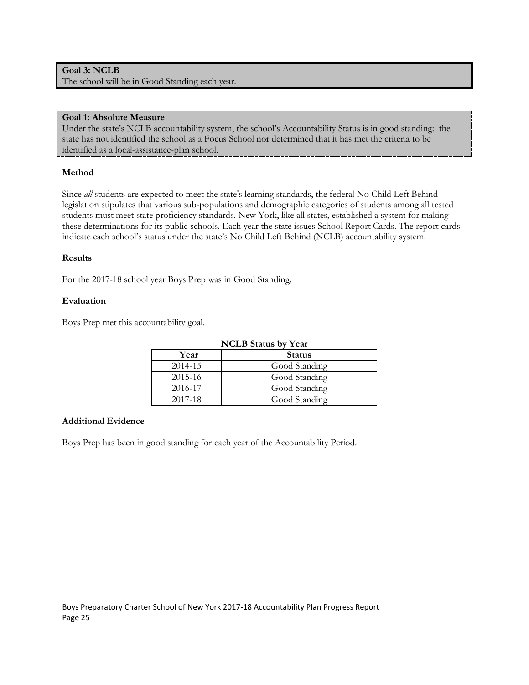# **Goal 3: NCLB** The school will be in Good Standing each year.

#### **Goal 1: Absolute Measure**

Under the state's NCLB accountability system, the school's Accountability Status is in good standing: the state has not identified the school as a Focus School nor determined that it has met the criteria to be identified as a local-assistance-plan school.

# **Method**

Since *all* students are expected to meet the state's learning standards, the federal No Child Left Behind legislation stipulates that various sub-populations and demographic categories of students among all tested students must meet state proficiency standards. New York, like all states, established a system for making these determinations for its public schools. Each year the state issues School Report Cards. The report cards indicate each school's status under the state's No Child Left Behind (NCLB) accountability system.

## **Results**

For the 2017-18 school year Boys Prep was in Good Standing.

## **Evaluation**

Boys Prep met this accountability goal.

| <b>NCLB</b> Status by Year |               |  |  |  |  |
|----------------------------|---------------|--|--|--|--|
| Year                       | <b>Status</b> |  |  |  |  |
| 2014-15                    | Good Standing |  |  |  |  |
| 2015-16                    | Good Standing |  |  |  |  |
| 2016-17                    | Good Standing |  |  |  |  |
| 2017-18                    | Good Standing |  |  |  |  |

# **Additional Evidence**

Boys Prep has been in good standing for each year of the Accountability Period.